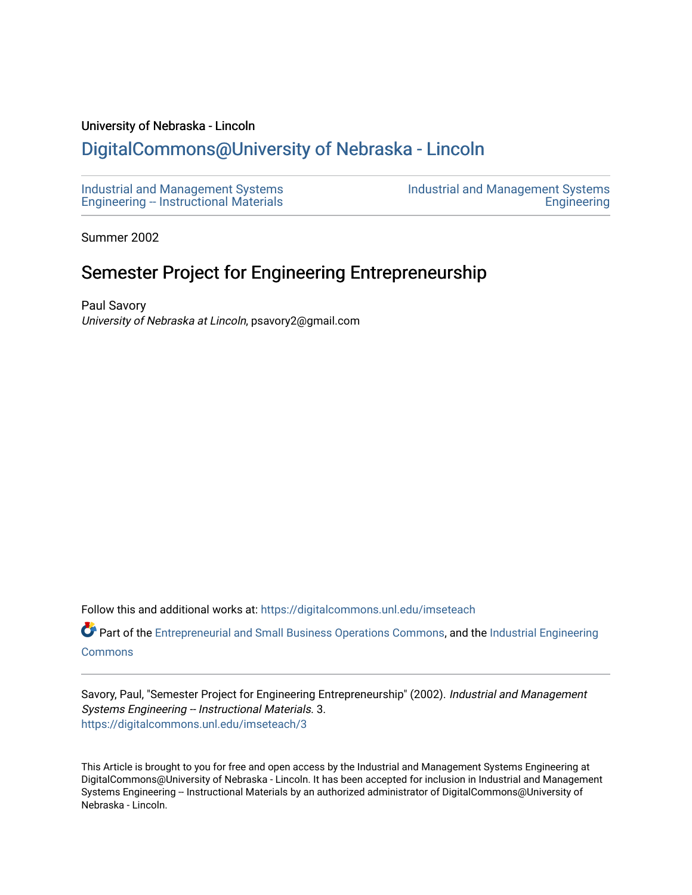#### University of Nebraska - Lincoln

### [DigitalCommons@University of Nebraska - Lincoln](https://digitalcommons.unl.edu/)

[Industrial and Management Systems](https://digitalcommons.unl.edu/imseteach)  [Engineering -- Instructional Materials](https://digitalcommons.unl.edu/imseteach)  [Industrial and Management Systems](https://digitalcommons.unl.edu/imse)  **Engineering** 

Summer 2002

### Semester Project for Engineering Entrepreneurship

Paul Savory University of Nebraska at Lincoln, psavory2@gmail.com

Follow this and additional works at: [https://digitalcommons.unl.edu/imseteach](https://digitalcommons.unl.edu/imseteach?utm_source=digitalcommons.unl.edu%2Fimseteach%2F3&utm_medium=PDF&utm_campaign=PDFCoverPages) 

Part of the [Entrepreneurial and Small Business Operations Commons,](http://network.bepress.com/hgg/discipline/630?utm_source=digitalcommons.unl.edu%2Fimseteach%2F3&utm_medium=PDF&utm_campaign=PDFCoverPages) and the [Industrial Engineering](http://network.bepress.com/hgg/discipline/307?utm_source=digitalcommons.unl.edu%2Fimseteach%2F3&utm_medium=PDF&utm_campaign=PDFCoverPages)  [Commons](http://network.bepress.com/hgg/discipline/307?utm_source=digitalcommons.unl.edu%2Fimseteach%2F3&utm_medium=PDF&utm_campaign=PDFCoverPages)

Savory, Paul, "Semester Project for Engineering Entrepreneurship" (2002). Industrial and Management Systems Engineering -- Instructional Materials. 3. [https://digitalcommons.unl.edu/imseteach/3](https://digitalcommons.unl.edu/imseteach/3?utm_source=digitalcommons.unl.edu%2Fimseteach%2F3&utm_medium=PDF&utm_campaign=PDFCoverPages) 

This Article is brought to you for free and open access by the Industrial and Management Systems Engineering at DigitalCommons@University of Nebraska - Lincoln. It has been accepted for inclusion in Industrial and Management Systems Engineering -- Instructional Materials by an authorized administrator of DigitalCommons@University of Nebraska - Lincoln.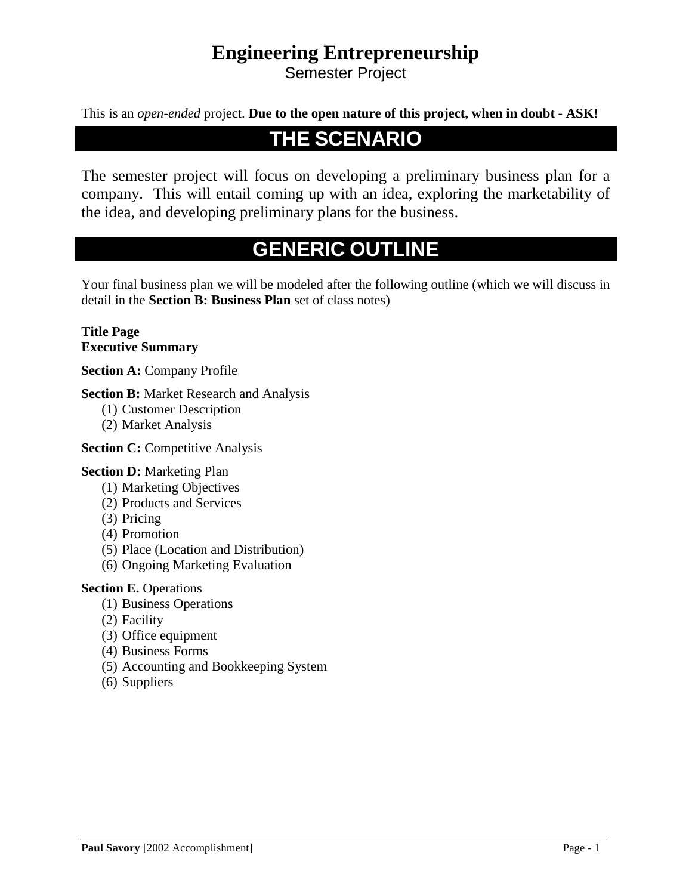### **Engineering Entrepreneurship**

Semester Project

This is an *open-ended* project. **Due to the open nature of this project, when in doubt - ASK!**

### **THE SCENARIO**

The semester project will focus on developing a preliminary business plan for a company. This will entail coming up with an idea, exploring the marketability of the idea, and developing preliminary plans for the business.

## **GENERIC OUTLINE**

Your final business plan we will be modeled after the following outline (which we will discuss in detail in the **Section B: Business Plan** set of class notes)

#### **Title Page Executive Summary**

**Section A:** Company Profile

**Section B:** Market Research and Analysis

- (1) Customer Description
- (2) Market Analysis

**Section C: Competitive Analysis** 

#### **Section D:** Marketing Plan

- (1) Marketing Objectives
- (2) Products and Services
- (3) Pricing
- (4) Promotion
- (5) Place (Location and Distribution)
- (6) Ongoing Marketing Evaluation

#### **Section E. Operations**

- (1) Business Operations
- (2) Facility
- (3) Office equipment
- (4) Business Forms
- (5) Accounting and Bookkeeping System
- (6) Suppliers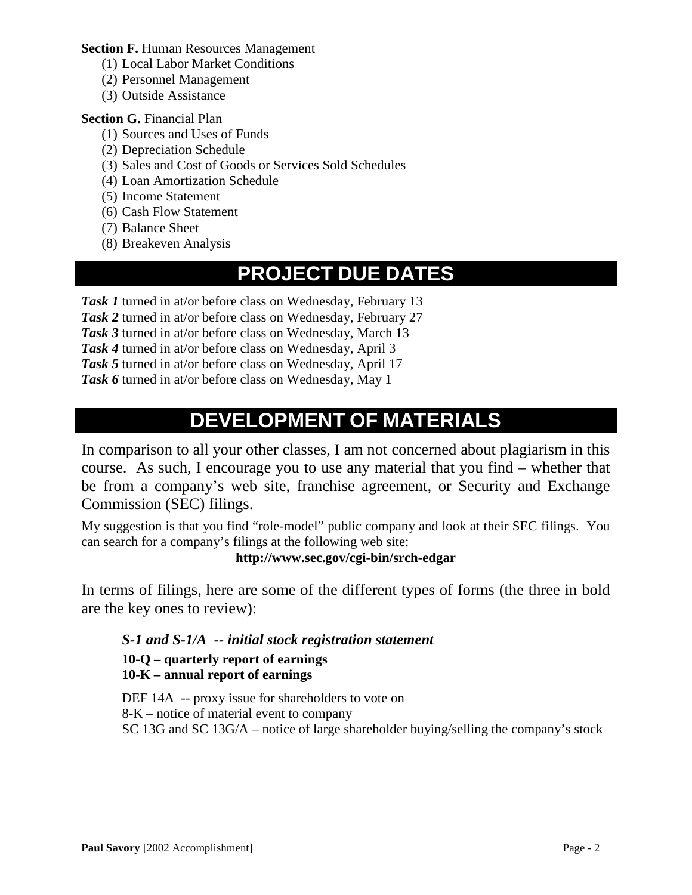**Section F. Human Resources Management** 

- (1) Local Labor Market Conditions
- (2) Personnel Management
- (3) Outside Assistance

#### **Section G. Financial Plan**

- (1) Sources and Uses of Funds
- (2) Depreciation Schedule
- (3) Sales and Cost of Goods or Services Sold Schedules
- (4) Loan Amortization Schedule
- (5) Income Statement
- (6) Cash Flow Statement
- (7) Balance Sheet
- (8) Breakeven Analysis

## **PROJECT DUE DATES**

*Task 1* turned in at/or before class on Wednesday, February 13

*Task 2* turned in at/or before class on Wednesday, February 27

*Task 3* turned in at/or before class on Wednesday, March 13

*Task 4* turned in at/or before class on Wednesday, April 3

*Task 5* turned in at/or before class on Wednesday, April 17

*Task 6* turned in at/or before class on Wednesday, May 1

## **DEVELOPMENT OF MATERIALS**

In comparison to all your other classes, I am not concerned about plagiarism in this course. As such, I encourage you to use any material that you find – whether that be from a company's web site, franchise agreement, or Security and Exchange Commission (SEC) filings.

My suggestion is that you find "role-model" public company and look at their SEC filings. You can search for a company's filings at the following web site:

#### **http://www.sec.gov/cgi-bin/srch-edgar**

In terms of filings, here are some of the different types of forms (the three in bold are the key ones to review):

### *S-1 and S-1/A -- initial stock registration statement*

#### **10-Q – quarterly report of earnings 10-K – annual report of earnings**

DEF 14A -- proxy issue for shareholders to vote on 8-K – notice of material event to company SC 13G and SC 13G/A – notice of large shareholder buying/selling the company's stock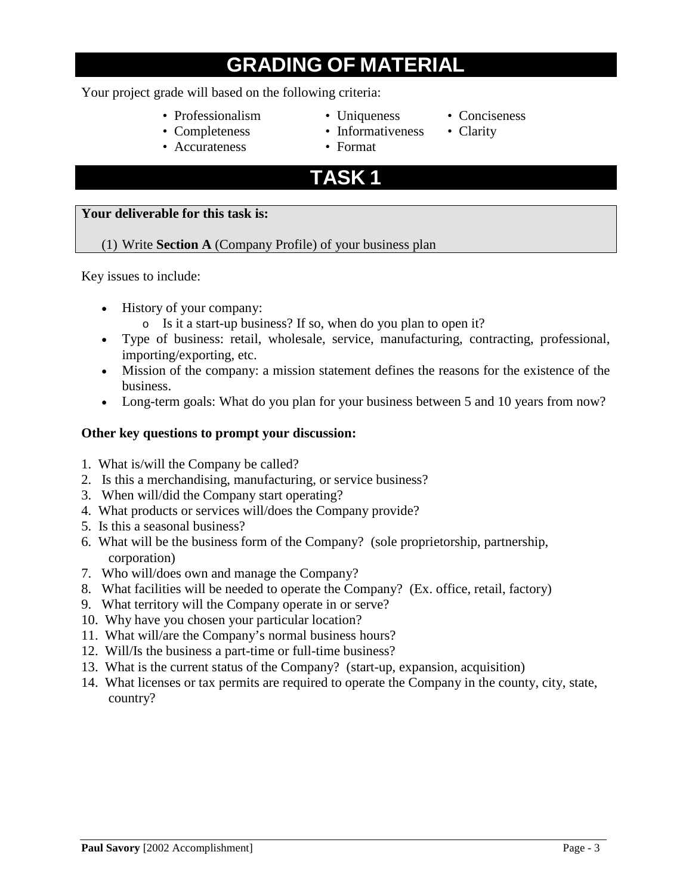# **GRADING OF MATERIAL**

#### Your project grade will based on the following criteria:

- Professionalism Uniqueness Conciseness
- Completeness Informativeness Clarity
- Accurateness Format
- 
- 
- 
- -
- 

### **TASK 1**

#### **Your deliverable for this task is:**

#### (1) Write **Section A** (Company Profile) of your business plan

Key issues to include:

- History of your company:
	- o Is it a start-up business? If so, when do you plan to open it?
- Type of business: retail, wholesale, service, manufacturing, contracting, professional, importing/exporting, etc.
- Mission of the company: a mission statement defines the reasons for the existence of the business.
- Long-term goals: What do you plan for your business between 5 and 10 years from now?

#### **Other key questions to prompt your discussion:**

- 1. What is/will the Company be called?
- 2. Is this a merchandising, manufacturing, or service business?
- 3. When will/did the Company start operating?
- 4. What products or services will/does the Company provide?
- 5. Is this a seasonal business?
- 6. What will be the business form of the Company? (sole proprietorship, partnership, corporation)
- 7. Who will/does own and manage the Company?
- 8. What facilities will be needed to operate the Company? (Ex. office, retail, factory)
- 9. What territory will the Company operate in or serve?
- 10. Why have you chosen your particular location?
- 11. What will/are the Company's normal business hours?
- 12. Will/Is the business a part-time or full-time business?
- 13. What is the current status of the Company? (start-up, expansion, acquisition)
- 14. What licenses or tax permits are required to operate the Company in the county, city, state, country?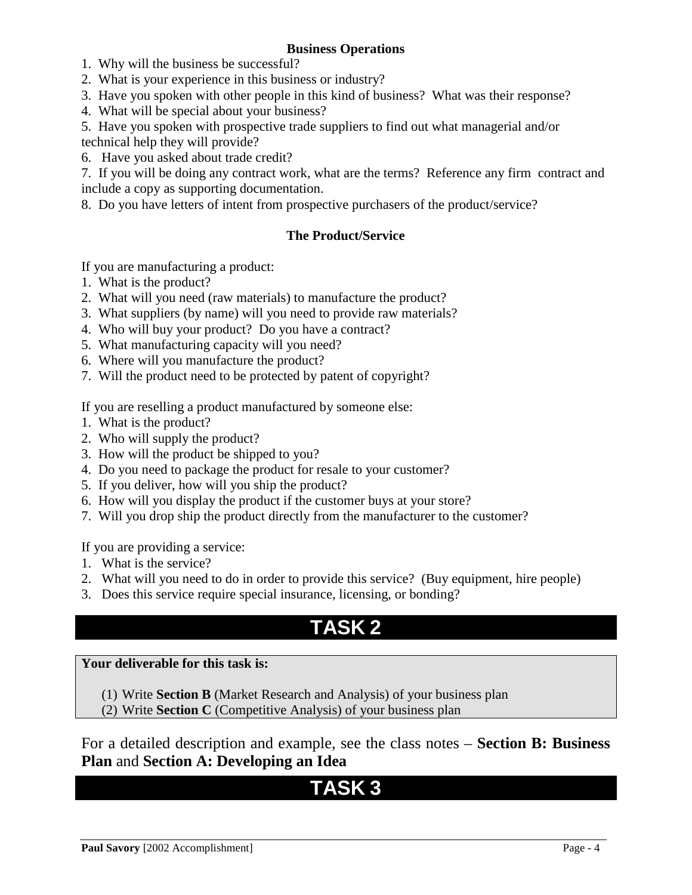#### **Business Operations**

- 1. Why will the business be successful?
- 2. What is your experience in this business or industry?
- 3. Have you spoken with other people in this kind of business? What was their response?
- 4. What will be special about your business?
- 5. Have you spoken with prospective trade suppliers to find out what managerial and/or technical help they will provide?
- 6. Have you asked about trade credit?

7. If you will be doing any contract work, what are the terms? Reference any firm contract and include a copy as supporting documentation.

8. Do you have letters of intent from prospective purchasers of the product/service?

#### **The Product/Service**

If you are manufacturing a product:

- 1. What is the product?
- 2. What will you need (raw materials) to manufacture the product?
- 3. What suppliers (by name) will you need to provide raw materials?
- 4. Who will buy your product? Do you have a contract?
- 5. What manufacturing capacity will you need?
- 6. Where will you manufacture the product?
- 7. Will the product need to be protected by patent of copyright?

If you are reselling a product manufactured by someone else:

- 1. What is the product?
- 2. Who will supply the product?
- 3. How will the product be shipped to you?
- 4. Do you need to package the product for resale to your customer?
- 5. If you deliver, how will you ship the product?
- 6. How will you display the product if the customer buys at your store?
- 7. Will you drop ship the product directly from the manufacturer to the customer?

If you are providing a service:

- 1. What is the service?
- 2. What will you need to do in order to provide this service? (Buy equipment, hire people)
- 3. Does this service require special insurance, licensing, or bonding?

## **TASK 2**

#### **Your deliverable for this task is:**

- (1) Write **Section B** (Market Research and Analysis) of your business plan
- (2) Write **Section C** (Competitive Analysis) of your business plan

For a detailed description and example, see the class notes – **Section B: Business Plan** and **Section A: Developing an Idea**

## **TASK 3**